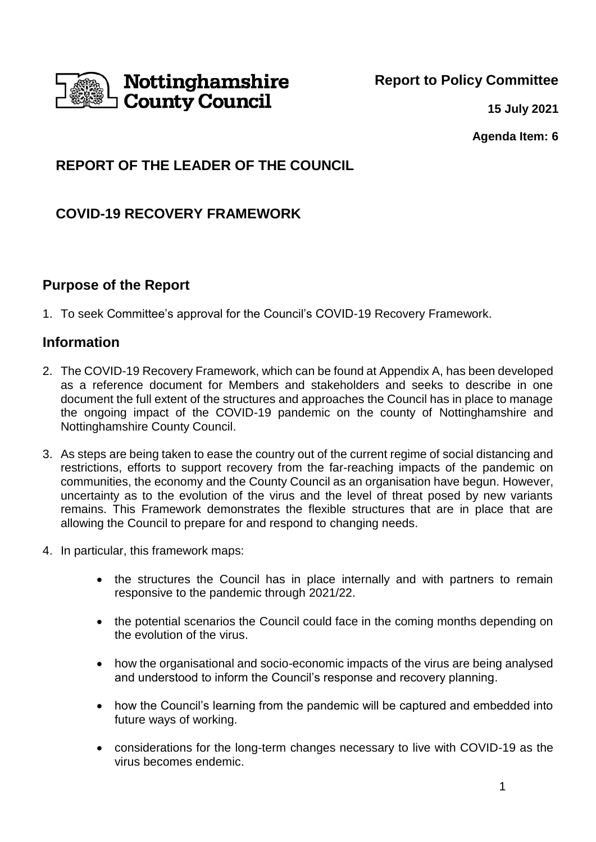

**15 July 2021**

**Agenda Item: 6**

# **REPORT OF THE LEADER OF THE COUNCIL**

# **COVID-19 RECOVERY FRAMEWORK**

## **Purpose of the Report**

1. To seek Committee's approval for the Council's COVID-19 Recovery Framework.

## **Information**

- 2. The COVID-19 Recovery Framework, which can be found at Appendix A, has been developed as a reference document for Members and stakeholders and seeks to describe in one document the full extent of the structures and approaches the Council has in place to manage the ongoing impact of the COVID-19 pandemic on the county of Nottinghamshire and Nottinghamshire County Council.
- 3. As steps are being taken to ease the country out of the current regime of social distancing and restrictions, efforts to support recovery from the far-reaching impacts of the pandemic on communities, the economy and the County Council as an organisation have begun. However, uncertainty as to the evolution of the virus and the level of threat posed by new variants remains. This Framework demonstrates the flexible structures that are in place that are allowing the Council to prepare for and respond to changing needs.
- 4. In particular, this framework maps:
	- the structures the Council has in place internally and with partners to remain responsive to the pandemic through 2021/22.
	- the potential scenarios the Council could face in the coming months depending on the evolution of the virus.
	- how the organisational and socio-economic impacts of the virus are being analysed and understood to inform the Council's response and recovery planning.
	- how the Council's learning from the pandemic will be captured and embedded into future ways of working.
	- considerations for the long-term changes necessary to live with COVID-19 as the virus becomes endemic.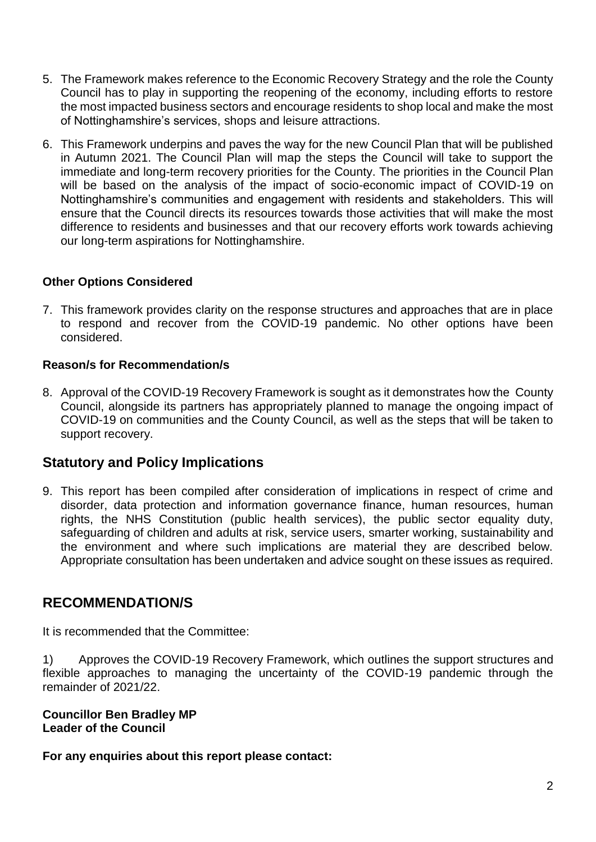- 5. The Framework makes reference to the Economic Recovery Strategy and the role the County Council has to play in supporting the reopening of the economy, including efforts to restore the most impacted business sectors and encourage residents to shop local and make the most of Nottinghamshire's services, shops and leisure attractions.
- 6. This Framework underpins and paves the way for the new Council Plan that will be published in Autumn 2021. The Council Plan will map the steps the Council will take to support the immediate and long-term recovery priorities for the County. The priorities in the Council Plan will be based on the analysis of the impact of socio-economic impact of COVID-19 on Nottinghamshire's communities and engagement with residents and stakeholders. This will ensure that the Council directs its resources towards those activities that will make the most difference to residents and businesses and that our recovery efforts work towards achieving our long-term aspirations for Nottinghamshire.

#### **Other Options Considered**

7. This framework provides clarity on the response structures and approaches that are in place to respond and recover from the COVID-19 pandemic. No other options have been considered.

#### **Reason/s for Recommendation/s**

8. Approval of the COVID-19 Recovery Framework is sought as it demonstrates how the County Council, alongside its partners has appropriately planned to manage the ongoing impact of COVID-19 on communities and the County Council, as well as the steps that will be taken to support recovery.

## **Statutory and Policy Implications**

9. This report has been compiled after consideration of implications in respect of crime and disorder, data protection and information governance finance, human resources, human rights, the NHS Constitution (public health services), the public sector equality duty, safeguarding of children and adults at risk, service users, smarter working, sustainability and the environment and where such implications are material they are described below. Appropriate consultation has been undertaken and advice sought on these issues as required.

## **RECOMMENDATION/S**

It is recommended that the Committee:

1) Approves the COVID-19 Recovery Framework, which outlines the support structures and flexible approaches to managing the uncertainty of the COVID-19 pandemic through the remainder of 2021/22.

**Councillor Ben Bradley MP Leader of the Council**

**For any enquiries about this report please contact:**